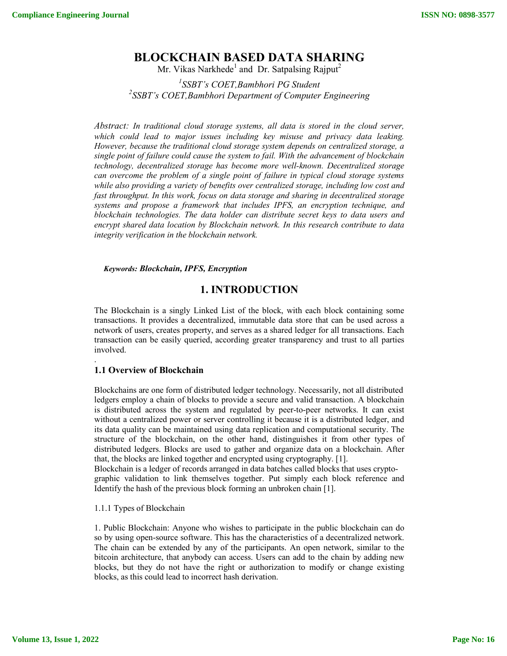# **BLOCKCHAIN BASED DATA SHARING**

Mr. Vikas Narkhede<sup>1</sup> and Dr. Satpalsing Rajput<sup>2</sup>

*1 SSBT's COET,Bambhori PG Student 2 SSBT's COET,Bambhori Department of Computer Engineering* 

*Abstract: In traditional cloud storage systems, all data is stored in the cloud server,*  which could lead to major issues including key misuse and privacy data leaking. *However, because the traditional cloud storage system depends on centralized storage, a single point of failure could cause the system to fail. With the advancement of blockchain technology, decentralized storage has become more well-known. Decentralized storage can overcome the problem of a single point of failure in typical cloud storage systems while also providing a variety of benefits over centralized storage, including low cost and fast throughput. In this work, focus on data storage and sharing in decentralized storage systems and propose a framework that includes IPFS, an encryption technique, and blockchain technologies. The data holder can distribute secret keys to data users and encrypt shared data location by Blockchain network. In this research contribute to data integrity verification in the blockchain network.*

*Keywords: Blockchain, IPFS, Encryption* 

## **1. INTRODUCTION**

The Blockchain is a singly Linked List of the block, with each block containing some transactions. It provides a decentralized, immutable data store that can be used across a network of users, creates property, and serves as a shared ledger for all transactions. Each transaction can be easily queried, according greater transparency and trust to all parties involved.

## **1.1 Overview of Blockchain**

.

Blockchains are one form of distributed ledger technology. Necessarily, not all distributed ledgers employ a chain of blocks to provide a secure and valid transaction. A blockchain is distributed across the system and regulated by peer-to-peer networks. It can exist without a centralized power or server controlling it because it is a distributed ledger, and its data quality can be maintained using data replication and computational security. The structure of the blockchain, on the other hand, distinguishes it from other types of distributed ledgers. Blocks are used to gather and organize data on a blockchain. After that, the blocks are linked together and encrypted using cryptography. [1].

Blockchain is a ledger of records arranged in data batches called blocks that uses cryptographic validation to link themselves together. Put simply each block reference and Identify the hash of the previous block forming an unbroken chain [1].

## 1.1.1 Types of Blockchain

1. Public Blockchain: Anyone who wishes to participate in the public blockchain can do so by using open-source software. This has the characteristics of a decentralized network. The chain can be extended by any of the participants. An open network, similar to the bitcoin architecture, that anybody can access. Users can add to the chain by adding new blocks, but they do not have the right or authorization to modify or change existing blocks, as this could lead to incorrect hash derivation.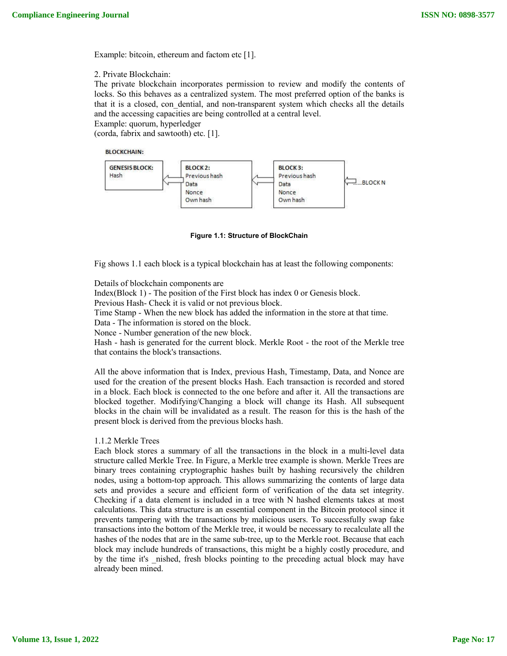Example: bitcoin, ethereum and factom etc [1].

2. Private Blockchain:

The private blockchain incorporates permission to review and modify the contents of locks. So this behaves as a centralized system. The most preferred option of the banks is that it is a closed, con\_dential, and non-transparent system which checks all the details and the accessing capacities are being controlled at a central level.

Example: quorum, hyperledger (corda, fabrix and sawtooth) etc. [1].

#### **BLOCKCHAIN:**



**Figure 1.1: Structure of BlockChain**

Fig shows 1.1 each block is a typical blockchain has at least the following components:

#### Details of blockchain components are

Index(Block 1) - The position of the First block has index 0 or Genesis block.

Previous Hash- Check it is valid or not previous block.

Time Stamp - When the new block has added the information in the store at that time.

Data - The information is stored on the block.

Nonce - Number generation of the new block.

Hash - hash is generated for the current block. Merkle Root - the root of the Merkle tree that contains the block's transactions.

All the above information that is Index, previous Hash, Timestamp, Data, and Nonce are used for the creation of the present blocks Hash. Each transaction is recorded and stored in a block. Each block is connected to the one before and after it. All the transactions are blocked together. Modifying/Changing a block will change its Hash. All subsequent blocks in the chain will be invalidated as a result. The reason for this is the hash of the present block is derived from the previous blocks hash.

#### 1.1.2 Merkle Trees

Each block stores a summary of all the transactions in the block in a multi-level data structure called Merkle Tree. In Figure, a Merkle tree example is shown. Merkle Trees are binary trees containing cryptographic hashes built by hashing recursively the children nodes, using a bottom-top approach. This allows summarizing the contents of large data sets and provides a secure and efficient form of verification of the data set integrity. Checking if a data element is included in a tree with N hashed elements takes at most calculations. This data structure is an essential component in the Bitcoin protocol since it prevents tampering with the transactions by malicious users. To successfully swap fake transactions into the bottom of the Merkle tree, it would be necessary to recalculate all the hashes of the nodes that are in the same sub-tree, up to the Merkle root. Because that each block may include hundreds of transactions, this might be a highly costly procedure, and by the time it's anished, fresh blocks pointing to the preceding actual block may have already been mined.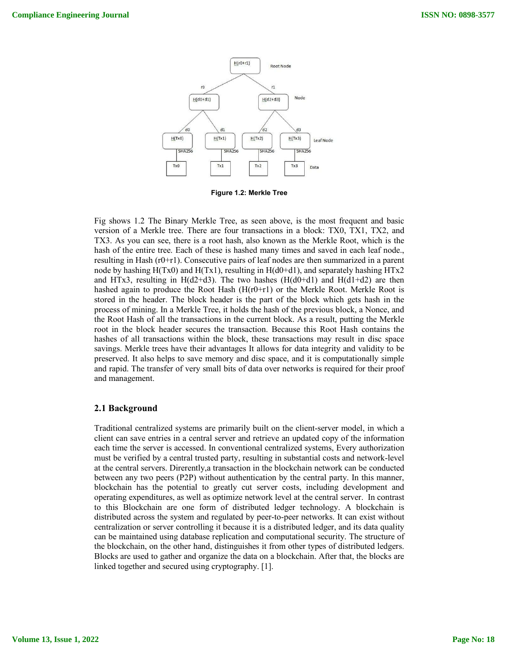

**Figure 1.2: Merkle Tree**

Fig shows 1.2 The Binary Merkle Tree, as seen above, is the most frequent and basic version of a Merkle tree. There are four transactions in a block: TX0, TX1, TX2, and TX3. As you can see, there is a root hash, also known as the Merkle Root, which is the hash of the entire tree. Each of these is hashed many times and saved in each leaf node., resulting in Hash  $(r0+r1)$ . Consecutive pairs of leaf nodes are then summarized in a parent node by hashing  $H(Tx0)$  and  $H(Tx1)$ , resulting in  $H(d0+d1)$ , and separately hashing  $HTx2$ and HTx3, resulting in H(d2+d3). The two hashes (H(d0+d1) and H(d1+d2) are then hashed again to produce the Root Hash  $(H(r0+r1))$  or the Merkle Root. Merkle Root is stored in the header. The block header is the part of the block which gets hash in the process of mining. In a Merkle Tree, it holds the hash of the previous block, a Nonce, and the Root Hash of all the transactions in the current block. As a result, putting the Merkle root in the block header secures the transaction. Because this Root Hash contains the hashes of all transactions within the block, these transactions may result in disc space savings. Merkle trees have their advantages It allows for data integrity and validity to be preserved. It also helps to save memory and disc space, and it is computationally simple and rapid. The transfer of very small bits of data over networks is required for their proof and management.

## **2.1 Background**

Traditional centralized systems are primarily built on the client-server model, in which a client can save entries in a central server and retrieve an updated copy of the information each time the server is accessed. In conventional centralized systems, Every authorization must be verified by a central trusted party, resulting in substantial costs and network-level at the central servers. Direrently,a transaction in the blockchain network can be conducted between any two peers (P2P) without authentication by the central party. In this manner, blockchain has the potential to greatly cut server costs, including development and operating expenditures, as well as optimize network level at the central server. In contrast to this Blockchain are one form of distributed ledger technology. A blockchain is distributed across the system and regulated by peer-to-peer networks. It can exist without centralization or server controlling it because it is a distributed ledger, and its data quality can be maintained using database replication and computational security. The structure of the blockchain, on the other hand, distinguishes it from other types of distributed ledgers. Blocks are used to gather and organize the data on a blockchain. After that, the blocks are linked together and secured using cryptography. [1].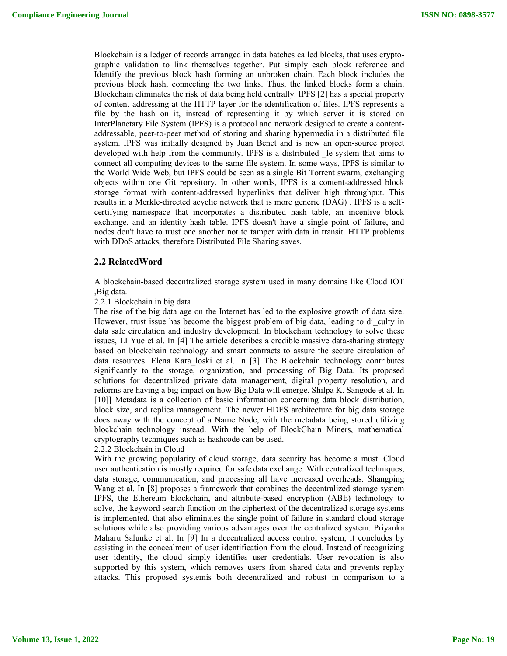Blockchain is a ledger of records arranged in data batches called blocks, that uses cryptographic validation to link themselves together. Put simply each block reference and Identify the previous block hash forming an unbroken chain. Each block includes the previous block hash, connecting the two links. Thus, the linked blocks form a chain. Blockchain eliminates the risk of data being held centrally. IPFS [2] has a special property of content addressing at the HTTP layer for the identification of files. IPFS represents a file by the hash on it, instead of representing it by which server it is stored on InterPlanetary File System (IPFS) is a protocol and network designed to create a contentaddressable, peer-to-peer method of storing and sharing hypermedia in a distributed file system. IPFS was initially designed by Juan Benet and is now an open-source project developed with help from the community. IPFS is a distributed \_le system that aims to connect all computing devices to the same file system. In some ways, IPFS is similar to the World Wide Web, but IPFS could be seen as a single Bit Torrent swarm, exchanging objects within one Git repository. In other words, IPFS is a content-addressed block storage format with content-addressed hyperlinks that deliver high throughput. This results in a Merkle-directed acyclic network that is more generic (DAG) . IPFS is a selfcertifying namespace that incorporates a distributed hash table, an incentive block exchange, and an identity hash table. IPFS doesn't have a single point of failure, and nodes don't have to trust one another not to tamper with data in transit. HTTP problems with DDoS attacks, therefore Distributed File Sharing saves.

#### **2.2 RelatedWord**

A blockchain-based decentralized storage system used in many domains like Cloud IOT ,Big data.

2.2.1 Blockchain in big data

The rise of the big data age on the Internet has led to the explosive growth of data size. However, trust issue has become the biggest problem of big data, leading to di\_culty in data safe circulation and industry development. In blockchain technology to solve these issues, LI Yue et al. In [4] The article describes a credible massive data-sharing strategy based on blockchain technology and smart contracts to assure the secure circulation of data resources. Elena Kara\_loski et al. In [3] The Blockchain technology contributes significantly to the storage, organization, and processing of Big Data. Its proposed solutions for decentralized private data management, digital property resolution, and reforms are having a big impact on how Big Data will emerge. Shilpa K. Sangode et al. In [10]] Metadata is a collection of basic information concerning data block distribution, block size, and replica management. The newer HDFS architecture for big data storage does away with the concept of a Name Node, with the metadata being stored utilizing blockchain technology instead. With the help of BlockChain Miners, mathematical cryptography techniques such as hashcode can be used.

#### 2.2.2 Blockchain in Cloud

With the growing popularity of cloud storage, data security has become a must. Cloud user authentication is mostly required for safe data exchange. With centralized techniques, data storage, communication, and processing all have increased overheads. Shangping Wang et al. In [8] proposes a framework that combines the decentralized storage system IPFS, the Ethereum blockchain, and attribute-based encryption (ABE) technology to solve, the keyword search function on the ciphertext of the decentralized storage systems is implemented, that also eliminates the single point of failure in standard cloud storage solutions while also providing various advantages over the centralized system. Priyanka Maharu Salunke et al. In [9] In a decentralized access control system, it concludes by assisting in the concealment of user identification from the cloud. Instead of recognizing user identity, the cloud simply identifies user credentials. User revocation is also supported by this system, which removes users from shared data and prevents replay attacks. This proposed systemis both decentralized and robust in comparison to a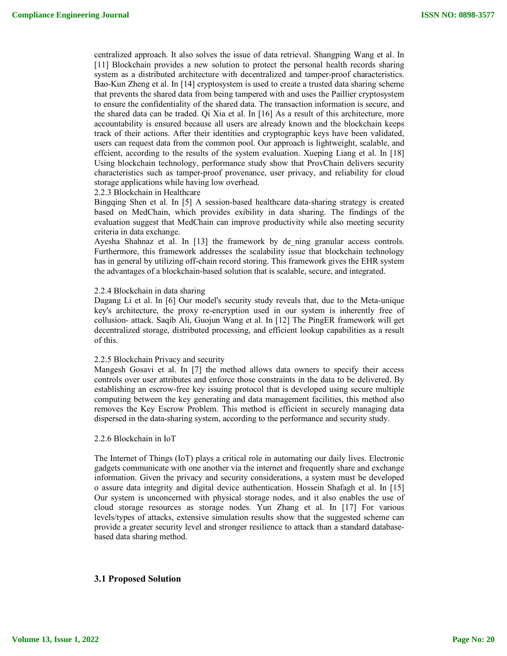centralized approach. It also solves the issue of data retrieval. Shangping Wang et al. In [11] Blockchain provides a new solution to protect the personal health records sharing system as a distributed architecture with decentralized and tamper-proof characteristics. Bao-Kun Zheng et al. In [14] cryptosystem is used to create a trusted data sharing scheme that prevents the shared data from being tampered with and uses the Paillier cryptosystem to ensure the confidentiality of the shared data. The transaction information is secure, and the shared data can be traded. Qi Xia et al. In [16] As a result of this architecture, more accountability is ensured because all users are already known and the blockchain keeps track of their actions. After their identities and cryptographic keys have been validated, users can request data from the common pool. Our approach is lightweight, scalable, and effcient, according to the results of the system evaluation. Xueping Liang et al. In [18] Using blockchain technology, performance study show that ProvChain delivers security characteristics such as tamper-proof provenance, user privacy, and reliability for cloud storage applications while having low overhead.

2.2.3 Blockchain in Healthcare

Bingqing Shen et al. In [5] A session-based healthcare data-sharing strategy is created based on MedChain, which provides exibility in data sharing. The findings of the evaluation suggest that MedChain can improve productivity while also meeting security criteria in data exchange.

Ayesha Shahnaz et al. In [13] the framework by de ning granular access controls. Furthermore, this framework addresses the scalability issue that blockchain technology has in general by utilizing off-chain record storing. This framework gives the EHR system the advantages of a blockchain-based solution that is scalable, secure, and integrated.

#### 2.2.4 Blockchain in data sharing

Dagang Li et al. In [6] Our model's security study reveals that, due to the Meta-unique key's architecture, the proxy re-encryption used in our system is inherently free of collusion- attack. Saqib Ali, Guojun Wang et al. In [12] The PingER framework will get decentralized storage, distributed processing, and efficient lookup capabilities as a result of this.

#### 2.2.5 Blockchain Privacy and security

Mangesh Gosavi et al. In [7] the method allows data owners to specify their access controls over user attributes and enforce those constraints in the data to be delivered. By establishing an escrow-free key issuing protocol that is developed using secure multiple computing between the key generating and data management facilities, this method also removes the Key Escrow Problem. This method is efficient in securely managing data dispersed in the data-sharing system, according to the performance and security study.

#### 2.2.6 Blockchain in IoT

The Internet of Things (IoT) plays a critical role in automating our daily lives. Electronic gadgets communicate with one another via the internet and frequently share and exchange information. Given the privacy and security considerations, a system must be developed o assure data integrity and digital device authentication. Hossein Shafagh et al. In [15] Our system is unconcerned with physical storage nodes, and it also enables the use of cloud storage resources as storage nodes. Yun Zhang et al. In [17] For various levels/types of attacks, extensive simulation results show that the suggested scheme can provide a greater security level and stronger resilience to attack than a standard databasebased data sharing method.

#### **3.1 Proposed Solution**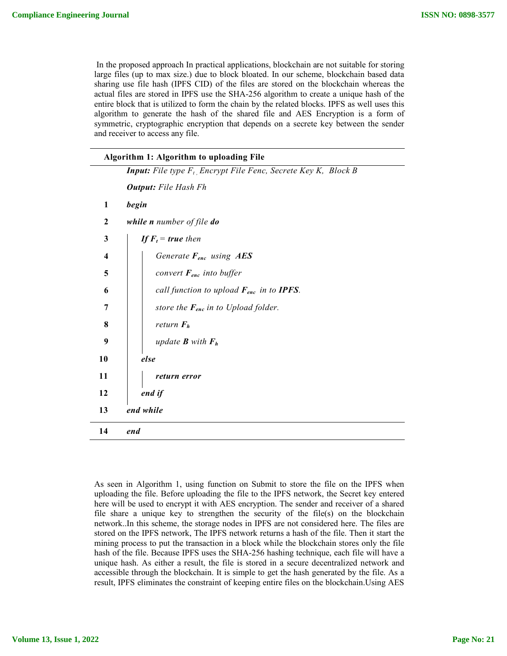In the proposed approach In practical applications, blockchain are not suitable for storing large files (up to max size.) due to block bloated. In our scheme, blockchain based data sharing use file hash (IPFS CID) of the files are stored on the blockchain whereas the actual files are stored in IPFS use the SHA-256 algorithm to create a unique hash of the entire block that is utilized to form the chain by the related blocks. IPFS as well uses this algorithm to generate the hash of the shared file and AES Encryption is a form of symmetric, cryptographic encryption that depends on a secrete key between the sender and receiver to access any file.

| Algorithm 1: Algorithm to uploading File |                                                                         |  |  |  |
|------------------------------------------|-------------------------------------------------------------------------|--|--|--|
|                                          | <b>Input:</b> File type $F_t$ Encrypt File Fenc, Secrete Key K, Block B |  |  |  |
|                                          | <b>Output:</b> File Hash Fh                                             |  |  |  |
| $\mathbf{1}$                             | begin                                                                   |  |  |  |
| 2                                        | while $n$ number of file $d\theta$                                      |  |  |  |
| 3                                        | If $F_t$ = true then                                                    |  |  |  |
| $\overline{\mathbf{4}}$                  | Generate $F_{enc}$ using $AES$                                          |  |  |  |
| 5                                        | convert $F_{enc}$ into buffer                                           |  |  |  |
| 6                                        | call function to upload $F_{enc}$ in to <b>IPFS</b> .                   |  |  |  |
| 7                                        | store the $F_{enc}$ in to Upload folder.                                |  |  |  |
| 8                                        | return $F_h$                                                            |  |  |  |
| 9                                        | update <b>B</b> with $F_h$                                              |  |  |  |
| 10                                       | else                                                                    |  |  |  |
| 11                                       | return error                                                            |  |  |  |
| 12                                       | end if                                                                  |  |  |  |
| end while<br>13                          |                                                                         |  |  |  |
| 14                                       | end                                                                     |  |  |  |

As seen in Algorithm 1, using function on Submit to store the file on the IPFS when uploading the file. Before uploading the file to the IPFS network, the Secret key entered here will be used to encrypt it with AES encryption. The sender and receiver of a shared file share a unique key to strengthen the security of the file(s) on the blockchain network..In this scheme, the storage nodes in IPFS are not considered here. The files are stored on the IPFS network, The IPFS network returns a hash of the file. Then it start the mining process to put the transaction in a block while the blockchain stores only the file hash of the file. Because IPFS uses the SHA-256 hashing technique, each file will have a unique hash. As either a result, the file is stored in a secure decentralized network and accessible through the blockchain. It is simple to get the hash generated by the file. As a result, IPFS eliminates the constraint of keeping entire files on the blockchain.Using AES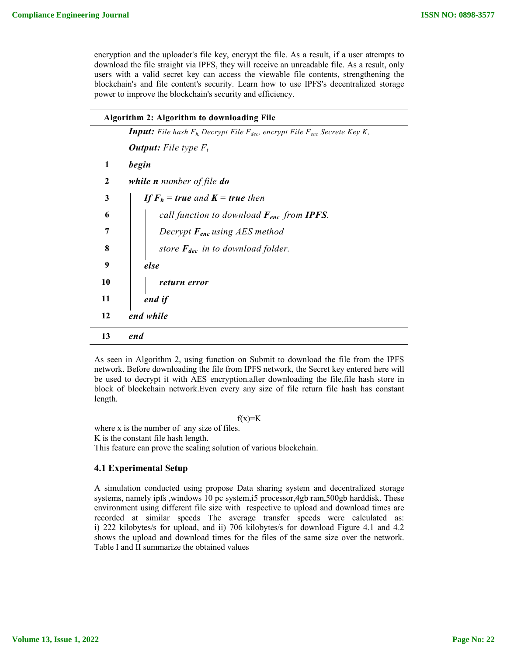encryption and the uploader's file key, encrypt the file. As a result, if a user attempts to download the file straight via IPFS, they will receive an unreadable file. As a result, only users with a valid secret key can access the viewable file contents, strengthening the blockchain's and file content's security. Learn how to use IPFS's decentralized storage power to improve the blockchain's security and efficiency.

| Algorithm 2: Algorithm to downloading File |                                                                                              |  |  |  |
|--------------------------------------------|----------------------------------------------------------------------------------------------|--|--|--|
|                                            | <b>Input:</b> File hash $F_h$ Decrypt File $F_{dec}$ , encrypt File $F_{enc}$ Secrete Key K, |  |  |  |
|                                            | <b>Output:</b> File type $F_t$                                                               |  |  |  |
| 1                                          | begin                                                                                        |  |  |  |
| $\mathbf{2}$                               | while <i>n</i> number of file do                                                             |  |  |  |
| 3                                          | <b>If <math>F_h</math> = true</b> and $K$ = true then                                        |  |  |  |
| 6                                          | call function to download $F_{enc}$ from IPFS.                                               |  |  |  |
| 7                                          | Decrypt $F_{enc}$ using AES method                                                           |  |  |  |
| 8                                          | store $F_{dec}$ in to download folder.                                                       |  |  |  |
| 9                                          | else                                                                                         |  |  |  |
| 10                                         | return error                                                                                 |  |  |  |
| 11                                         | end if                                                                                       |  |  |  |
| 12                                         | end while                                                                                    |  |  |  |
| 13                                         | end                                                                                          |  |  |  |

As seen in Algorithm 2, using function on Submit to download the file from the IPFS network. Before downloading the file from IPFS network, the Secret key entered here will be used to decrypt it with AES encryption.after downloading the file,file hash store in block of blockchain network.Even every any size of file return file hash has constant length.

 $f(x)=K$ 

where x is the number of any size of files. K is the constant file hash length. This feature can prove the scaling solution of various blockchain.

## **4.1 Experimental Setup**

A simulation conducted using propose Data sharing system and decentralized storage systems, namely ipfs ,windows 10 pc system,i5 processor,4gb ram,500gb harddisk. These environment using different file size with respective to upload and download times are recorded at similar speeds The average transfer speeds were calculated as: i) 222 kilobytes/s for upload, and ii) 706 kilobytes/s for download Figure 4.1 and 4.2 shows the upload and download times for the files of the same size over the network. Table I and II summarize the obtained values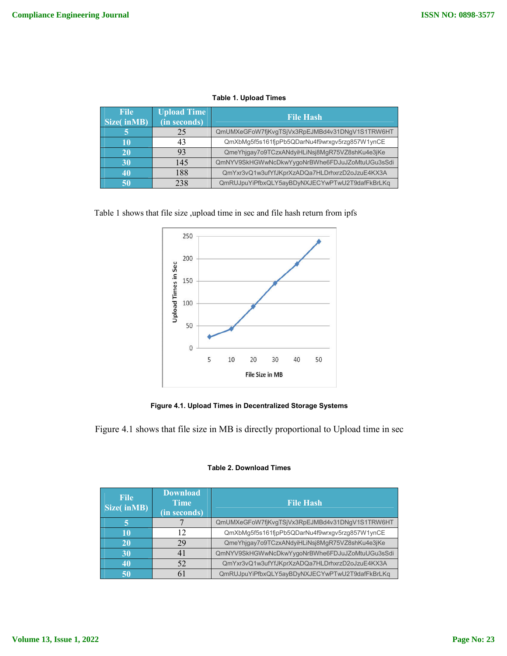#### **Table 1. Upload Times**

| <b>File</b><br>Size(inMB) | <b>Upload Time</b><br>(in seconds) | <b>File Hash</b>                               |
|---------------------------|------------------------------------|------------------------------------------------|
|                           | 25                                 | QmUMXeGFoW7fjKvgTSjVx3RpEJMBd4v31DNgV1S1TRW6HT |
| 10                        | 43                                 | QmXbMg5f5s161fjpPb5QDarNu4f9wrxgv5rzg857W1ynCE |
| <b>20</b>                 | 93                                 | QmeYhjgay7o9TCzxANdyiHLiNsj8MgR75VZ8shKu4e3jKe |
| 30                        | 145                                | QmNYV9SkHGWwNcDkwYygoNrBWhe6FDJuJZoMtuUGu3sSdi |
| 40                        | 188                                | QmYxr3vQ1w3ufYfJKprXzADQa7HLDrhxrzD2oJzuE4KX3A |
| 50                        | 238                                | QmRUJpuYiPfbxQLY5ayBDyNXJECYwPTwU2T9dafFkBrLKq |

Table 1 shows that file size ,upload time in sec and file hash return from ipfs



**Figure 4.1. Upload Times in Decentralized Storage Systems**

Figure 4.1 shows that file size in MB is directly proportional to Upload time in sec

| <b>File</b><br>Size(inMB) | <b>Download</b><br><b>Time</b><br>(in seconds) | <b>File Hash</b>                               |
|---------------------------|------------------------------------------------|------------------------------------------------|
|                           |                                                | QmUMXeGFoW7fjKvgTSjVx3RpEJMBd4v31DNgV1S1TRW6HT |
| 10                        | 12                                             | QmXbMg5f5s161fjpPb5QDarNu4f9wrxgv5rzg857W1ynCE |
| 20                        | 29                                             | QmeYhjqay7o9TCzxANdyiHLiNsj8MqR75VZ8shKu4e3jKe |
| 30                        | 41                                             | QmNYV9SkHGWwNcDkwYygoNrBWhe6FDJuJZoMtuUGu3sSdi |
| 40                        | 52                                             | QmYxr3vQ1w3ufYfJKprXzADQa7HLDrhxrzD2oJzuE4KX3A |
| 50                        | 61                                             | QmRUJpuYiPfbxQLY5ayBDyNXJECYwPTwU2T9dafFkBrLKq |

#### **Table 2. Download Times**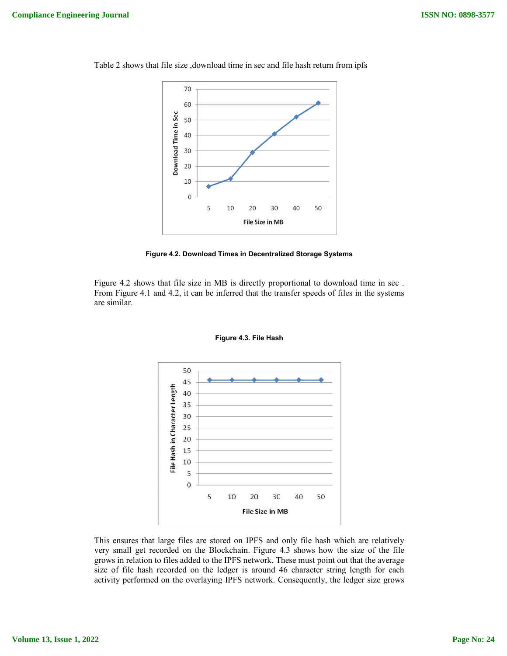

Table 2 shows that file size ,download time in sec and file hash return from ipfs



Figure 4.2 shows that file size in MB is directly proportional to download time in sec . From Figure 4.1 and 4.2, it can be inferred that the transfer speeds of files in the systems are similar.



**Figure 4.3. File Hash**

This ensures that large files are stored on IPFS and only file hash which are relatively very small get recorded on the Blockchain. Figure 4.3 shows how the size of the file grows in relation to files added to the IPFS network. These must point out that the average size of file hash recorded on the ledger is around 46 character string length for each activity performed on the overlaying IPFS network. Consequently, the ledger size grows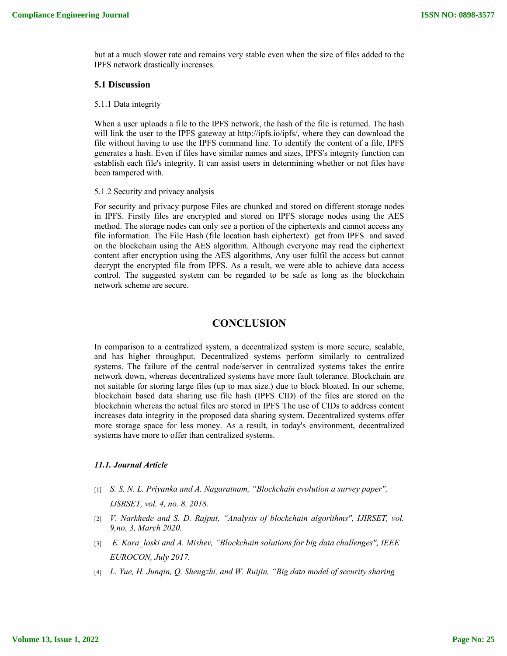but at a much slower rate and remains very stable even when the size of files added to the IPFS network drastically increases.

#### **5.1 Discussion**

#### 5.1.1 Data integrity

When a user uploads a file to the IPFS network, the hash of the file is returned. The hash will link the user to the IPFS gateway at http://ipfs.io/ipfs/, where they can download the file without having to use the IPFS command line. To identify the content of a file, IPFS generates a hash. Even if files have similar names and sizes, IPFS's integrity function can establish each file's integrity. It can assist users in determining whether or not files have been tampered with.

#### 5.1.2 Security and privacy analysis

For security and privacy purpose Files are chunked and stored on different storage nodes in IPFS. Firstly files are encrypted and stored on IPFS storage nodes using the AES method. The storage nodes can only see a portion of the ciphertexts and cannot access any file information. The File Hash (file location hash ciphertext) get from IPFS and saved on the blockchain using the AES algorithm. Although everyone may read the ciphertext content after encryption using the AES algorithms, Any user fulfil the access but cannot decrypt the encrypted file from IPFS. As a result, we were able to achieve data access control. The suggested system can be regarded to be safe as long as the blockchain network scheme are secure.

## **CONCLUSION**

In comparison to a centralized system, a decentralized system is more secure, scalable, and has higher throughput. Decentralized systems perform similarly to centralized systems. The failure of the central node/server in centralized systems takes the entire network down, whereas decentralized systems have more fault tolerance. Blockchain are not suitable for storing large files (up to max size.) due to block bloated. In our scheme, blockchain based data sharing use file hash (IPFS CID) of the files are stored on the blockchain whereas the actual files are stored in IPFS The use of CIDs to address content increases data integrity in the proposed data sharing system. Decentralized systems offer more storage space for less money. As a result, in today's environment, decentralized systems have more to offer than centralized systems.

## *11.1. Journal Article*

[1] *S. S. N. L. Priyanka and A. Nagaratnam, "Blockchain evolution a survey paper",*

*IJSRSET, vol. 4, no. 8, 2018.*

- [2] *V. Narkhede and S. D. Rajput, "Analysis of blockchain algorithms", IJIRSET, vol. 9,no. 3, March 2020.*
- [3] *E. Kara\_loski and A. Mishev, "Blockchain solutions for big data challenges", IEEE EUROCON, July 2017.*
- [4] *L. Yue, H. Junqin, Q. Shengzhi, and W. Ruijin, "Big data model of security sharing*